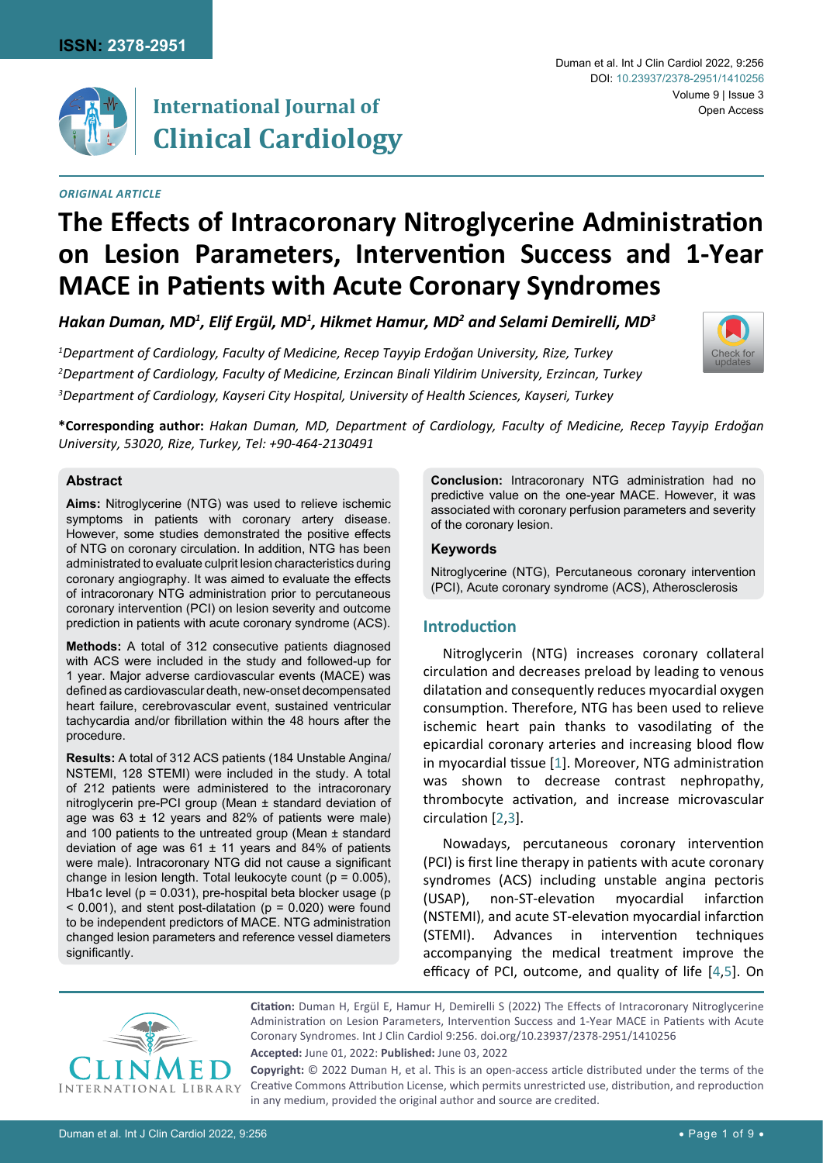

# **International Journal of Clinical Cardiology**

#### *Original Article*

#### Duman et al. Int J Clin Cardiol 2022, 9:256 Volume 9 | Issue 3 Open Access DOI: [10.23937/2378-2951/1410256](https://doi.org/10.23937/2378-2951/1410256)

# **The Effects of Intracoronary Nitroglycerine Administration on Lesion Parameters, Intervention Success and 1-Year MACE in Patients with Acute Coronary Syndromes**

Hakan Duman, MD<sup>1</sup>, Elif Ergül, MD<sup>1</sup>, Hikmet Hamur, MD<sup>2</sup> and Selami Demirelli, MD<sup>3</sup>

*1 Department of Cardiology, Faculty of Medicine, Recep Tayyip Erdoğan University, Rize, Turkey 2 Department of Cardiology, Faculty of Medicine, Erzincan Binali Yildirim University, Erzincan, Turkey 3 Department of Cardiology, Kayseri City Hospital, University of Health Sciences, Kayseri, Turkey*



**\*Corresponding author:** *Hakan Duman, MD, Department of Cardiology, Faculty of Medicine, Recep Tayyip Erdoğan University, 53020, Rize, Turkey, Tel: +90-464-2130491*

#### **Abstract**

**Aims:** Nitroglycerine (NTG) was used to relieve ischemic symptoms in patients with coronary artery disease. However, some studies demonstrated the positive effects of NTG on coronary circulation. In addition, NTG has been administrated to evaluate culprit lesion characteristics during coronary angiography. It was aimed to evaluate the effects of intracoronary NTG administration prior to percutaneous coronary intervention (PCI) on lesion severity and outcome prediction in patients with acute coronary syndrome (ACS).

**Methods:** A total of 312 consecutive patients diagnosed with ACS were included in the study and followed-up for 1 year. Major adverse cardiovascular events (MACE) was defined as cardiovascular death, new-onset decompensated heart failure, cerebrovascular event, sustained ventricular tachycardia and/or fibrillation within the 48 hours after the procedure.

**Results:** A total of 312 ACS patients (184 Unstable Angina/ NSTEMI, 128 STEMI) were included in the study. A total of 212 patients were administered to the intracoronary nitroglycerin pre-PCI group (Mean ± standard deviation of age was  $63 \pm 12$  years and 82% of patients were male) and 100 patients to the untreated group (Mean ± standard deviation of age was  $61 \pm 11$  years and 84% of patients were male). Intracoronary NTG did not cause a significant change in lesion length. Total leukocyte count ( $p = 0.005$ ), Hba1c level (p = 0.031), pre-hospital beta blocker usage (p  $<$  0.001), and stent post-dilatation (p = 0.020) were found to be independent predictors of MACE. NTG administration changed lesion parameters and reference vessel diameters significantly.

**Conclusion:** Intracoronary NTG administration had no predictive value on the one-year MACE. However, it was associated with coronary perfusion parameters and severity of the coronary lesion.

#### **Keywords**

Nitroglycerine (NTG), Percutaneous coronary intervention (PCI), Acute coronary syndrome (ACS), Atherosclerosis

## **Introduction**

Nitroglycerin (NTG) increases coronary collateral circulation and decreases preload by leading to venous dilatation and consequently reduces myocardial oxygen consumption. Therefore, NTG has been used to relieve ischemic heart pain thanks to vasodilating of the epicardial coronary arteries and increasing blood flow in myocardial tissue [\[1\]](#page-7-0). Moreover, NTG administration was shown to decrease contrast nephropathy, thrombocyte activation, and increase microvascular circulation [[2,](#page-7-1)[3\]](#page-7-2).

Nowadays, percutaneous coronary intervention (PCI) is first line therapy in patients with acute coronary syndromes (ACS) including unstable angina pectoris (USAP), non-ST-elevation myocardial infarction (NSTEMI), and acute ST-elevation myocardial infarction (STEMI). Advances in intervention techniques accompanying the medical treatment improve the efficacy of PCI, outcome, and quality of life [[4](#page-7-3),[5\]](#page-7-4). On



**Citation:** Duman H, Ergül E, Hamur H, Demirelli S (2022) The Effects of Intracoronary Nitroglycerine Administration on Lesion Parameters, Intervention Success and 1-Year MACE in Patients with Acute Coronary Syndromes. Int J Clin Cardiol 9:256. [doi.org/10.23937/2378-2951/1410256](https://doi.org/10.23937/2378-2951/1410256)

**Accepted:** June 01, 2022: **Published:** June 03, 2022

**Copyright:** © 2022 Duman H, et al. This is an open-access article distributed under the terms of the Creative Commons Attribution License, which permits unrestricted use, distribution, and reproduction in any medium, provided the original author and source are credited.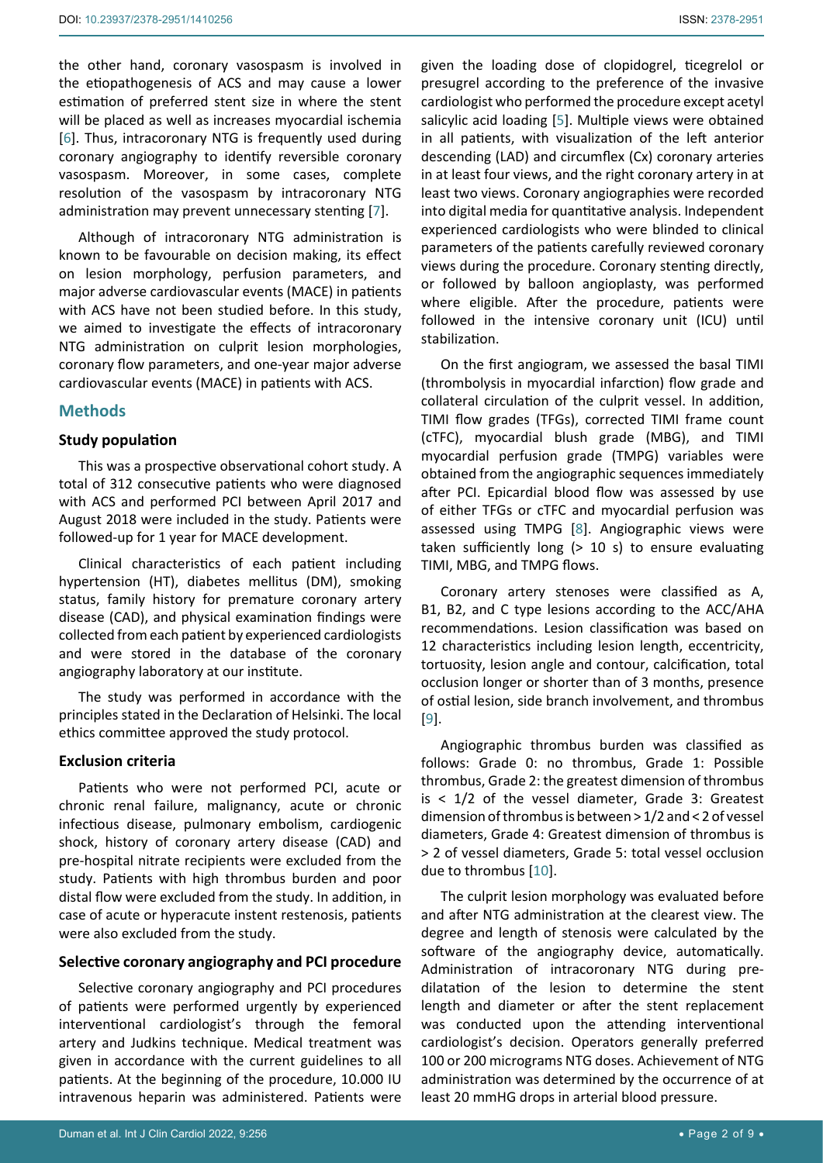the other hand, coronary vasospasm is involved in the etiopathogenesis of ACS and may cause a lower estimation of preferred stent size in where the stent will be placed as well as increases myocardial ischemia [[6](#page-7-8)]. Thus, intracoronary NTG is frequently used during coronary angiography to identify reversible coronary vasospasm. Moreover, in some cases, complete resolution of the vasospasm by intracoronary NTG administration may prevent unnecessary stenting [[7](#page-7-9)].

Although of intracoronary NTG administration is known to be favourable on decision making, its effect on lesion morphology, perfusion parameters, and major adverse cardiovascular events (MACE) in patients with ACS have not been studied before. In this study, we aimed to investigate the effects of intracoronary NTG administration on culprit lesion morphologies, coronary flow parameters, and one-year major adverse cardiovascular events (MACE) in patients with ACS.

#### **Methods**

#### **Study population**

This was a prospective observational cohort study. A total of 312 consecutive patients who were diagnosed with ACS and performed PCI between April 2017 and August 2018 were included in the study. Patients were followed-up for 1 year for MACE development.

Clinical characteristics of each patient including hypertension (HT), diabetes mellitus (DM), smoking status, family history for premature coronary artery disease (CAD), and physical examination findings were collected from each patient by experienced cardiologists and were stored in the database of the coronary angiography laboratory at our institute.

The study was performed in accordance with the principles stated in the Declaration of Helsinki. The local ethics committee approved the study protocol.

#### **Exclusion criteria**

Patients who were not performed PCI, acute or chronic renal failure, malignancy, acute or chronic infectious disease, pulmonary embolism, cardiogenic shock, history of coronary artery disease (CAD) and pre-hospital nitrate recipients were excluded from the study. Patients with high thrombus burden and poor distal flow were excluded from the study. In addition, in case of acute or hyperacute instent restenosis, patients were also excluded from the study.

#### **Selective coronary angiography and PCI procedure**

Selective coronary angiography and PCI procedures of patients were performed urgently by experienced interventional cardiologist's through the femoral artery and Judkins technique. Medical treatment was given in accordance with the current guidelines to all patients. At the beginning of the procedure, 10.000 IU intravenous heparin was administered. Patients were given the loading dose of clopidogrel, ticegrelol or presugrel according to the preference of the invasive cardiologist who performed the procedure except acetyl salicylic acid loading [[5](#page-7-4)]. Multiple views were obtained in all patients, with visualization of the left anterior descending (LAD) and circumflex (Cx) coronary arteries in at least four views, and the right coronary artery in at least two views. Coronary angiographies were recorded into digital media for quantitative analysis. Independent experienced cardiologists who were blinded to clinical parameters of the patients carefully reviewed coronary views during the procedure. Coronary stenting directly, or followed by balloon angioplasty, was performed where eligible. After the procedure, patients were followed in the intensive coronary unit (ICU) until stabilization.

On the first angiogram, we assessed the basal TIMI (thrombolysis in myocardial infarction) flow grade and collateral circulation of the culprit vessel. In addition, TIMI flow grades (TFGs), corrected TIMI frame count (cTFC), myocardial blush grade (MBG), and TIMI myocardial perfusion grade (TMPG) variables were obtained from the angiographic sequences immediately after PCI. Epicardial blood flow was assessed by use of either TFGs or cTFC and myocardial perfusion was assessed using TMPG [\[8](#page-7-5)]. Angiographic views were taken sufficiently long (> 10 s) to ensure evaluating TIMI, MBG, and TMPG flows.

Coronary artery stenoses were classified as A, B1, B2, and C type lesions according to the ACC/AHA recommendations. Lesion classification was based on 12 characteristics including lesion length, eccentricity, tortuosity, lesion angle and contour, calcification, total occlusion longer or shorter than of 3 months, presence of ostial lesion, side branch involvement, and thrombus [\[9\]](#page-7-6).

Angiographic thrombus burden was classified as follows: Grade 0: no thrombus, Grade 1: Possible thrombus, Grade 2: the greatest dimension of thrombus is  $<$  1/2 of the vessel diameter, Grade 3: Greatest dimension of thrombus is between > 1/2 and < 2 of vessel diameters, Grade 4: Greatest dimension of thrombus is > 2 of vessel diameters, Grade 5: total vessel occlusion due to thrombus [[10\]](#page-7-7).

The culprit lesion morphology was evaluated before and after NTG administration at the clearest view. The degree and length of stenosis were calculated by the software of the angiography device, automatically. Administration of intracoronary NTG during predilatation of the lesion to determine the stent length and diameter or after the stent replacement was conducted upon the attending interventional cardiologist's decision. Operators generally preferred 100 or 200 micrograms NTG doses. Achievement of NTG administration was determined by the occurrence of at least 20 mmHG drops in arterial blood pressure.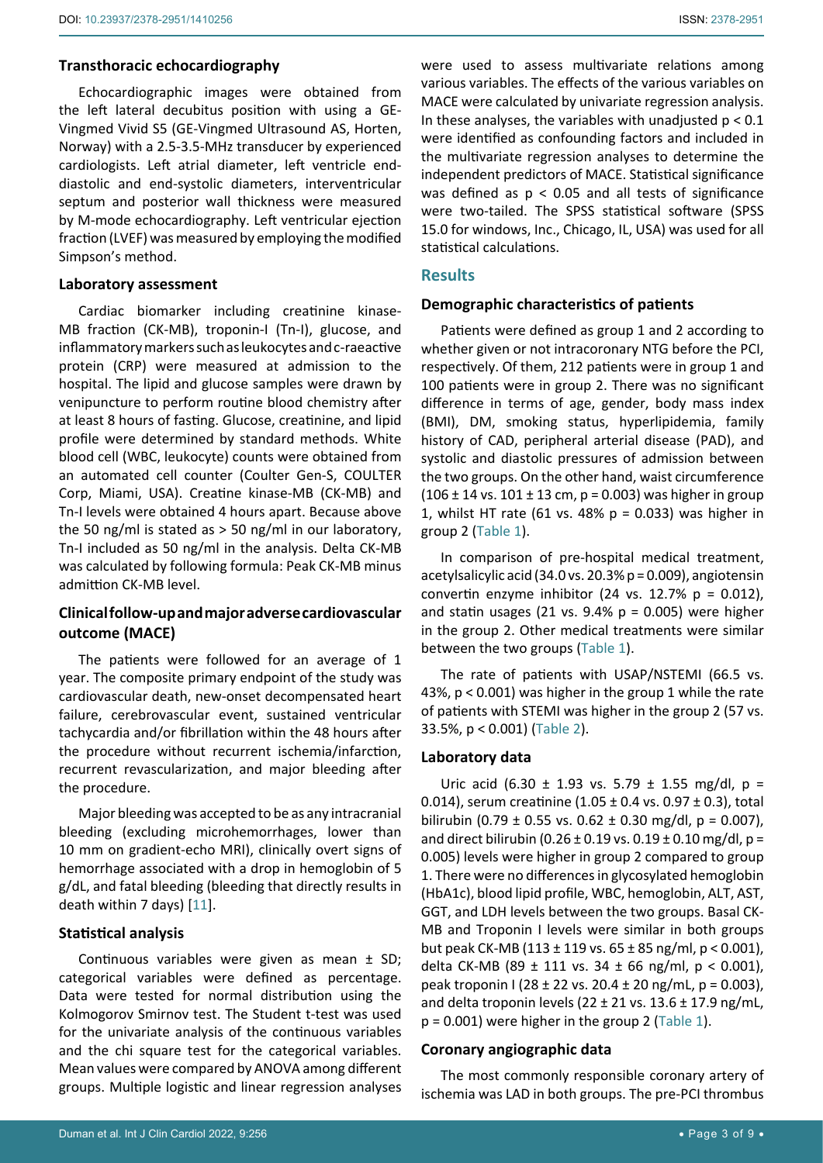## **Transthoracic echocardiography**

Echocardiographic images were obtained from the left lateral decubitus position with using a GE-Vingmed Vivid S5 (GE-Vingmed Ultrasound AS, Horten, Norway) with a 2.5-3.5-MHz transducer by experienced cardiologists. Left atrial diameter, left ventricle enddiastolic and end-systolic diameters, interventricular septum and posterior wall thickness were measured by M-mode echocardiography. Left ventricular ejection fraction (LVEF) was measured by employing the modified Simpson's method.

#### **Laboratory assessment**

Cardiac biomarker including creatinine kinase-MB fraction (CK-MB), troponin-I (Tn-I), glucose, and inflammatory markers such as leukocytes and c-raeactive protein (CRP) were measured at admission to the hospital. The lipid and glucose samples were drawn by venipuncture to perform routine blood chemistry after at least 8 hours of fasting. Glucose, creatinine, and lipid profile were determined by standard methods. White blood cell (WBC, leukocyte) counts were obtained from an automated cell counter (Coulter Gen-S, COULTER Corp, Miami, USA). Creatine kinase-MB (CK-MB) and Tn-I levels were obtained 4 hours apart. Because above the 50 ng/ml is stated as > 50 ng/ml in our laboratory, Tn-I included as 50 ng/ml in the analysis. Delta CK-MB was calculated by following formula: Peak CK-MB minus admittion CK-MB level.

## **Clinical follow-up and major adverse cardiovascular outcome (MACE)**

The patients were followed for an average of 1 year. The composite primary endpoint of the study was cardiovascular death, new-onset decompensated heart failure, cerebrovascular event, sustained ventricular tachycardia and/or fibrillation within the 48 hours after the procedure without recurrent ischemia/infarction, recurrent revascularization, and major bleeding after the procedure.

Major bleeding was accepted to be as any intracranial bleeding (excluding microhemorrhages, lower than 10 mm on gradient-echo MRI), clinically overt signs of hemorrhage associated with a drop in hemoglobin of 5 g/dL, and fatal bleeding (bleeding that directly results in death within 7 days) [\[11](#page-7-10)].

#### **Statistical analysis**

Continuous variables were given as mean ± SD; categorical variables were defined as percentage. Data were tested for normal distribution using the Kolmogorov Smirnov test. The Student t-test was used for the univariate analysis of the continuous variables and the chi square test for the categorical variables. Mean values were compared by ANOVA among different groups. Multiple logistic and linear regression analyses

were used to assess multivariate relations among various variables. The effects of the various variables on MACE were calculated by univariate regression analysis. In these analyses, the variables with unadjusted  $p < 0.1$ were identified as confounding factors and included in the multivariate regression analyses to determine the independent predictors of MACE. Statistical significance was defined as  $p < 0.05$  and all tests of significance were two-tailed. The SPSS statistical software (SPSS 15.0 for windows, Inc., Chicago, IL, USA) was used for all statistical calculations.

#### **Results**

#### **Demographic characteristics of patients**

Patients were defined as group 1 and 2 according to whether given or not intracoronary NTG before the PCI, respectively. Of them, 212 patients were in group 1 and 100 patients were in group 2. There was no significant difference in terms of age, gender, body mass index (BMI), DM, smoking status, hyperlipidemia, family history of CAD, peripheral arterial disease (PAD), and systolic and diastolic pressures of admission between the two groups. On the other hand, waist circumference  $(106 \pm 14 \text{ vs. } 101 \pm 13 \text{ cm}, p = 0.003)$  was higher in group 1, whilst HT rate (61 vs. 48%  $p = 0.033$ ) was higher in group 2 ([Table 1](#page-3-0)).

In comparison of pre-hospital medical treatment, acetylsalicylic acid (34.0 vs. 20.3% p = 0.009), angiotensin convertin enzyme inhibitor (24 vs. 12.7%  $p = 0.012$ ), and statin usages (21 vs.  $9.4\%$  p = 0.005) were higher in the group 2. Other medical treatments were similar between the two groups [\(Table 1\)](#page-3-0).

The rate of patients with USAP/NSTEMI (66.5 vs. 43%, p < 0.001) was higher in the group 1 while the rate of patients with STEMI was higher in the group 2 (57 vs. 33.5%, p < 0.001) ([Table 2](#page-4-0)).

#### **Laboratory data**

Uric acid (6.30  $\pm$  1.93 vs. 5.79  $\pm$  1.55 mg/dl, p = 0.014), serum creatinine  $(1.05 \pm 0.4 \text{ vs. } 0.97 \pm 0.3)$ , total bilirubin (0.79  $\pm$  0.55 vs. 0.62  $\pm$  0.30 mg/dl, p = 0.007), and direct bilirubin  $(0.26 \pm 0.19 \text{ vs. } 0.19 \pm 0.10 \text{ mg/d}$ , p = 0.005) levels were higher in group 2 compared to group 1. There were no differences in glycosylated hemoglobin (HbA1c), blood lipid profile, WBC, hemoglobin, ALT, AST, GGT, and LDH levels between the two groups. Basal CK-MB and Troponin I levels were similar in both groups but peak CK-MB (113 ± 119 vs. 65 ± 85 ng/ml, p < 0.001), delta CK-MB (89 ± 111 vs. 34 ± 66 ng/ml,  $p < 0.001$ ), peak troponin I (28 ± 22 vs. 20.4 ± 20 ng/mL, p = 0.003), and delta troponin levels (22  $\pm$  21 vs. 13.6  $\pm$  17.9 ng/mL,  $p = 0.001$ ) were higher in the group 2 ([Table 1\)](#page-3-0).

#### **Coronary angiographic data**

The most commonly responsible coronary artery of ischemia was LAD in both groups. The pre-PCI thrombus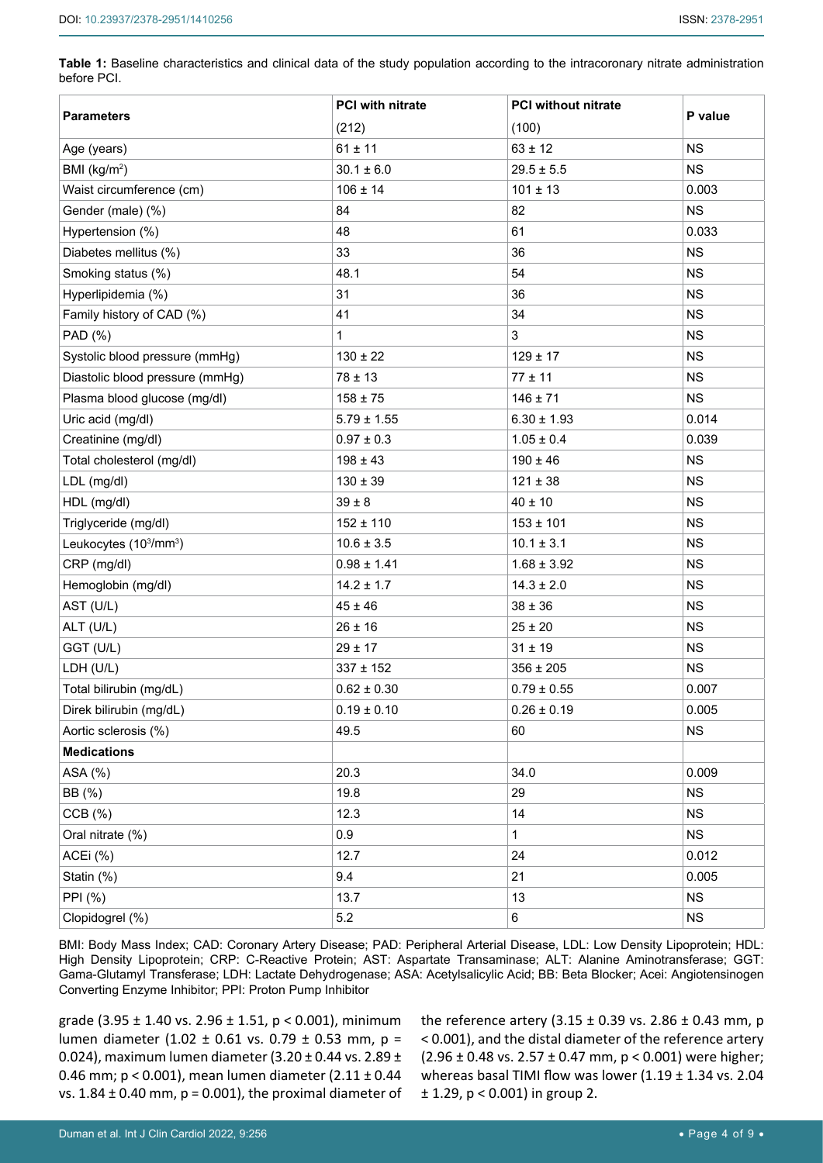<span id="page-3-0"></span>**Table 1:** Baseline characteristics and clinical data of the study population according to the intracoronary nitrate administration before PCI.

|                                                | <b>PCI with nitrate</b> | <b>PCI without nitrate</b> |           |
|------------------------------------------------|-------------------------|----------------------------|-----------|
| <b>Parameters</b>                              | (212)                   | (100)                      | P value   |
| Age (years)                                    | $61 \pm 11$             | $63 \pm 12$                | <b>NS</b> |
| BMI ( $kg/m2$ )                                | $30.1 \pm 6.0$          | $29.5 \pm 5.5$             | NS.       |
| Waist circumference (cm)                       | $106 \pm 14$            | $101 \pm 13$               | 0.003     |
| Gender (male) (%)                              | 84                      | 82                         | <b>NS</b> |
| Hypertension (%)                               | 48                      | 61                         | 0.033     |
| Diabetes mellitus (%)                          | 33                      | 36                         | NS.       |
| Smoking status (%)                             | 48.1                    | 54                         | <b>NS</b> |
| Hyperlipidemia (%)                             | 31                      | 36                         | NS.       |
| Family history of CAD (%)                      | 41                      | 34                         | <b>NS</b> |
| PAD (%)                                        | $\mathbf 1$             | 3                          | NS.       |
| Systolic blood pressure (mmHg)                 | $130 \pm 22$            | $129 \pm 17$               | <b>NS</b> |
| Diastolic blood pressure (mmHg)                | $78 \pm 13$             | $77 \pm 11$                | NS.       |
| Plasma blood glucose (mg/dl)                   | $158 \pm 75$            | $146 \pm 71$               | <b>NS</b> |
| Uric acid (mg/dl)                              | $5.79 \pm 1.55$         | $6.30 \pm 1.93$            | 0.014     |
| Creatinine (mg/dl)                             | $0.97 \pm 0.3$          | $1.05 \pm 0.4$             | 0.039     |
| Total cholesterol (mg/dl)                      | $198 \pm 43$            | $190 \pm 46$               | <b>NS</b> |
| LDL (mg/dl)                                    | $130 \pm 39$            | $121 \pm 38$               | <b>NS</b> |
| HDL (mg/dl)                                    | $39\pm8$                | $40 \pm 10$                | NS.       |
| Triglyceride (mg/dl)                           | $152 \pm 110$           | $153 \pm 101$              | <b>NS</b> |
| Leukocytes (10 <sup>3</sup> /mm <sup>3</sup> ) | $10.6 \pm 3.5$          | $10.1 \pm 3.1$             | <b>NS</b> |
| CRP (mg/dl)                                    | $0.98 \pm 1.41$         | $1.68 \pm 3.92$            | <b>NS</b> |
| Hemoglobin (mg/dl)                             | $14.2 \pm 1.7$          | $14.3 \pm 2.0$             | NS.       |
| AST (U/L)                                      | $45 \pm 46$             | $38 \pm 36$                | <b>NS</b> |
| ALT (U/L)                                      | $26 \pm 16$             | $25 \pm 20$                | <b>NS</b> |
| GGT (U/L)                                      | $29 \pm 17$             | $31 \pm 19$                | <b>NS</b> |
| LDH (U/L)                                      | $337 \pm 152$           | $356 \pm 205$              | NS.       |
| Total bilirubin (mg/dL)                        | $0.62 \pm 0.30$         | $0.79 \pm 0.55$            | 0.007     |
| Direk bilirubin (mg/dL)                        | $0.19 \pm 0.10$         | $0.26 \pm 0.19$            | 0.005     |
| Aortic sclerosis (%)                           | 49.5                    | 60                         | <b>NS</b> |
| <b>Medications</b>                             |                         |                            |           |
| ASA (%)                                        | 20.3                    | 34.0                       | 0.009     |
| BB (%)                                         | 19.8                    | 29                         | <b>NS</b> |
| $CCB (\%)$                                     | 12.3                    | 14                         | <b>NS</b> |
| Oral nitrate (%)                               | 0.9                     | 1                          | <b>NS</b> |
| ACEi (%)                                       | 12.7                    | 24                         | 0.012     |
| Statin (%)                                     | 9.4                     | 21                         | 0.005     |
| PPI (%)                                        | 13.7                    | 13                         | <b>NS</b> |
| Clopidogrel (%)                                | 5.2                     | 6                          | <b>NS</b> |

BMI: Body Mass Index; CAD: Coronary Artery Disease; PAD: Peripheral Arterial Disease, LDL: Low Density Lipoprotein; HDL: High Density Lipoprotein; CRP: C-Reactive Protein; AST: Aspartate Transaminase; ALT: Alanine Aminotransferase; GGT: Gama-Glutamyl Transferase; LDH: Lactate Dehydrogenase; ASA: Acetylsalicylic Acid; BB: Beta Blocker; Acei: Angiotensinogen Converting Enzyme Inhibitor; PPI: Proton Pump Inhibitor

grade (3.95 ± 1.40 vs. 2.96 ± 1.51, p < 0.001), minimum lumen diameter (1.02 ± 0.61 vs. 0.79 ± 0.53 mm, p = 0.024), maximum lumen diameter (3.20 ± 0.44 vs. 2.89 ± 0.46 mm; p < 0.001), mean lumen diameter (2.11 ± 0.44 vs.  $1.84 \pm 0.40$  mm,  $p = 0.001$ ), the proximal diameter of the reference artery  $(3.15 \pm 0.39 \text{ vs. } 2.86 \pm 0.43 \text{ mm}, \text{ p})$ < 0.001), and the distal diameter of the reference artery  $(2.96 \pm 0.48 \text{ vs. } 2.57 \pm 0.47 \text{ mm}, p < 0.001)$  were higher; whereas basal TIMI flow was lower (1.19 ± 1.34 vs. 2.04 ± 1.29, p < 0.001) in group 2.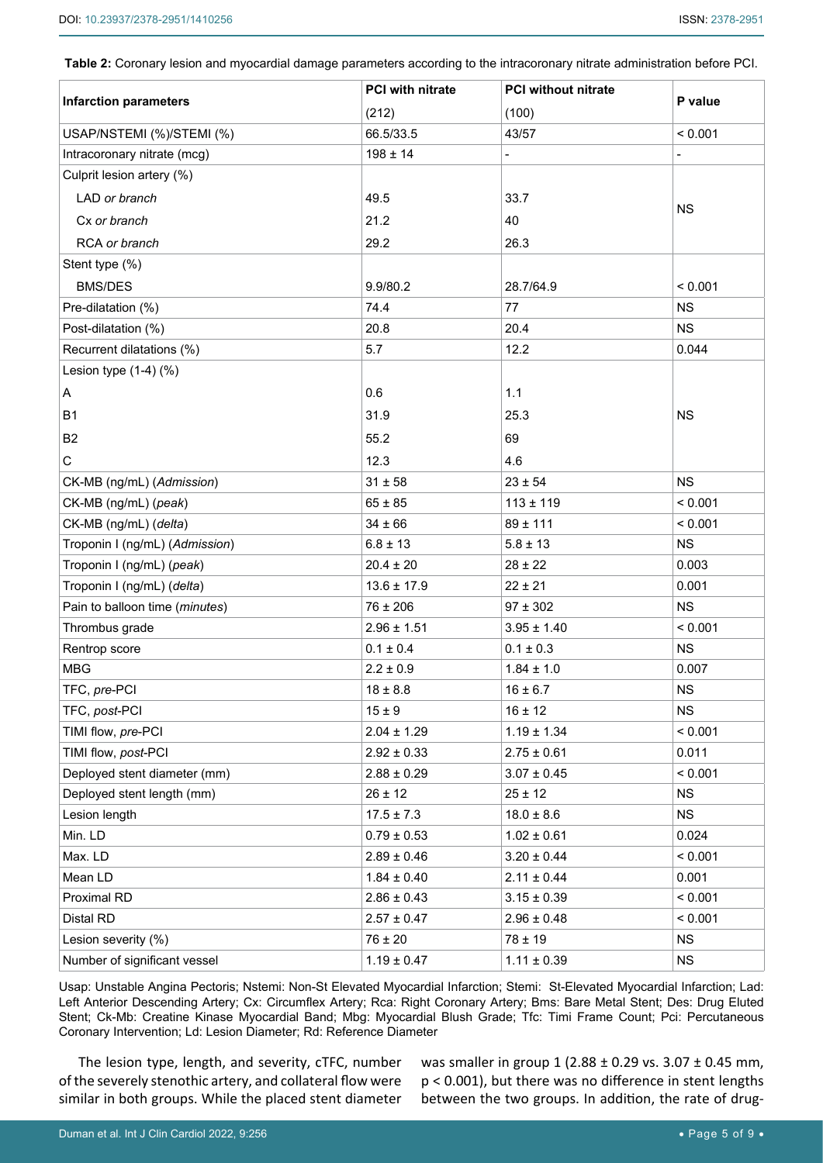<span id="page-4-0"></span>**Table 2:** Coronary lesion and myocardial damage parameters according to the intracoronary nitrate administration before PCI.

|                                                  | <b>PCI with nitrate</b> | <b>PCI without nitrate</b> |           |
|--------------------------------------------------|-------------------------|----------------------------|-----------|
| <b>Infarction parameters</b>                     | (212)                   | (100)                      | P value   |
| USAP/NSTEMI (%)/STEMI (%)                        | 66.5/33.5               | 43/57                      | < 0.001   |
| Intracoronary nitrate (mcg)                      | $198 \pm 14$            |                            |           |
| Culprit lesion artery (%)                        |                         |                            |           |
| LAD or branch                                    | 49.5                    | 33.7                       |           |
| Cx or branch                                     | 21.2                    | 40                         | <b>NS</b> |
| RCA or branch                                    | 29.2                    | 26.3                       |           |
| Stent type (%)                                   |                         |                            |           |
| <b>BMS/DES</b>                                   | 9.9/80.2                | 28.7/64.9                  | < 0.001   |
|                                                  | 74.4                    | 77                         | <b>NS</b> |
| Pre-dilatation (%)                               | 20.8                    | 20.4                       | <b>NS</b> |
| Post-dilatation (%)<br>Recurrent dilatations (%) | 5.7                     | 12.2                       | 0.044     |
| Lesion type $(1-4)$ $(\%)$                       |                         |                            |           |
|                                                  |                         |                            |           |
| A                                                | 0.6                     | 1.1                        |           |
| <b>B1</b>                                        | 31.9                    | 25.3                       | <b>NS</b> |
| B <sub>2</sub>                                   | 55.2                    | 69                         |           |
| C                                                | 12.3                    | 4.6                        |           |
| CK-MB (ng/mL) (Admission)                        | $31 \pm 58$             | $23 \pm 54$                | <b>NS</b> |
| CK-MB (ng/mL) (peak)                             | $65 \pm 85$             | $113 \pm 119$              | < 0.001   |
| CK-MB (ng/mL) (delta)                            | $34 \pm 66$             | $89 + 111$                 | < 0.001   |
| Troponin I (ng/mL) (Admission)                   | $6.8 \pm 13$            | $5.8 \pm 13$               | <b>NS</b> |
| Troponin I (ng/mL) (peak)                        | $20.4 \pm 20$           | $28 \pm 22$                | 0.003     |
| Troponin I (ng/mL) (delta)                       | $13.6 \pm 17.9$         | $22 \pm 21$                | 0.001     |
| Pain to balloon time (minutes)                   | $76 \pm 206$            | $97 \pm 302$               | <b>NS</b> |
| Thrombus grade                                   | $2.96 \pm 1.51$         | $3.95 \pm 1.40$            | < 0.001   |
| Rentrop score                                    | $0.1 \pm 0.4$           | $0.1 \pm 0.3$              | <b>NS</b> |
| <b>MBG</b>                                       | $2.2 \pm 0.9$           | $1.84 \pm 1.0$             | 0.007     |
| TFC, pre-PCI                                     | $18 \pm 8.8$            | $16 \pm 6.7$               | NS        |
| TFC, post-PCI                                    | $15 \pm 9$              | $16 \pm 12$                | <b>NS</b> |
| TIMI flow, pre-PCI                               | $2.04 \pm 1.29$         | $1.19 \pm 1.34$            | < 0.001   |
| TIMI flow, post-PCI                              | $2.92 \pm 0.33$         | $2.75 \pm 0.61$            | 0.011     |
| Deployed stent diameter (mm)                     | $2.88 \pm 0.29$         | $3.07 \pm 0.45$            | < 0.001   |
| Deployed stent length (mm)                       | $26 \pm 12$             | $25 \pm 12$                | <b>NS</b> |
| Lesion length                                    | $17.5 \pm 7.3$          | $18.0 \pm 8.6$             | <b>NS</b> |
| Min. LD                                          | $0.79 \pm 0.53$         | $1.02 \pm 0.61$            | 0.024     |
| Max. LD                                          | $2.89 \pm 0.46$         | $3.20 \pm 0.44$            | < 0.001   |
| Mean LD                                          | $1.84 \pm 0.40$         | $2.11 \pm 0.44$            | 0.001     |
| Proximal RD                                      | $2.86 \pm 0.43$         | $3.15 \pm 0.39$            | < 0.001   |
| Distal RD                                        | $2.57 \pm 0.47$         | $2.96 \pm 0.48$            | < 0.001   |
| Lesion severity (%)                              | $76 \pm 20$             | $78 \pm 19$                | <b>NS</b> |
| Number of significant vessel                     | $1.19 \pm 0.47$         | $1.11 \pm 0.39$            | <b>NS</b> |

Usap: Unstable Angina Pectoris; Nstemi: Non-St Elevated Myocardial Infarction; Stemi: St-Elevated Myocardial Infarction; Lad: Left Anterior Descending Artery; Cx: Circumflex Artery; Rca: Right Coronary Artery; Bms: Bare Metal Stent; Des: Drug Eluted Stent; Ck-Mb: Creatine Kinase Myocardial Band; Mbg: Myocardial Blush Grade; Tfc: Timi Frame Count; Pci: Percutaneous Coronary Intervention; Ld: Lesion Diameter; Rd: Reference Diameter

The lesion type, length, and severity, cTFC, number of the severely stenothic artery, and collateral flow were similar in both groups. While the placed stent diameter

was smaller in group 1 (2.88 ± 0.29 vs. 3.07 ± 0.45 mm, p < 0.001), but there was no difference in stent lengths between the two groups. In addition, the rate of drug-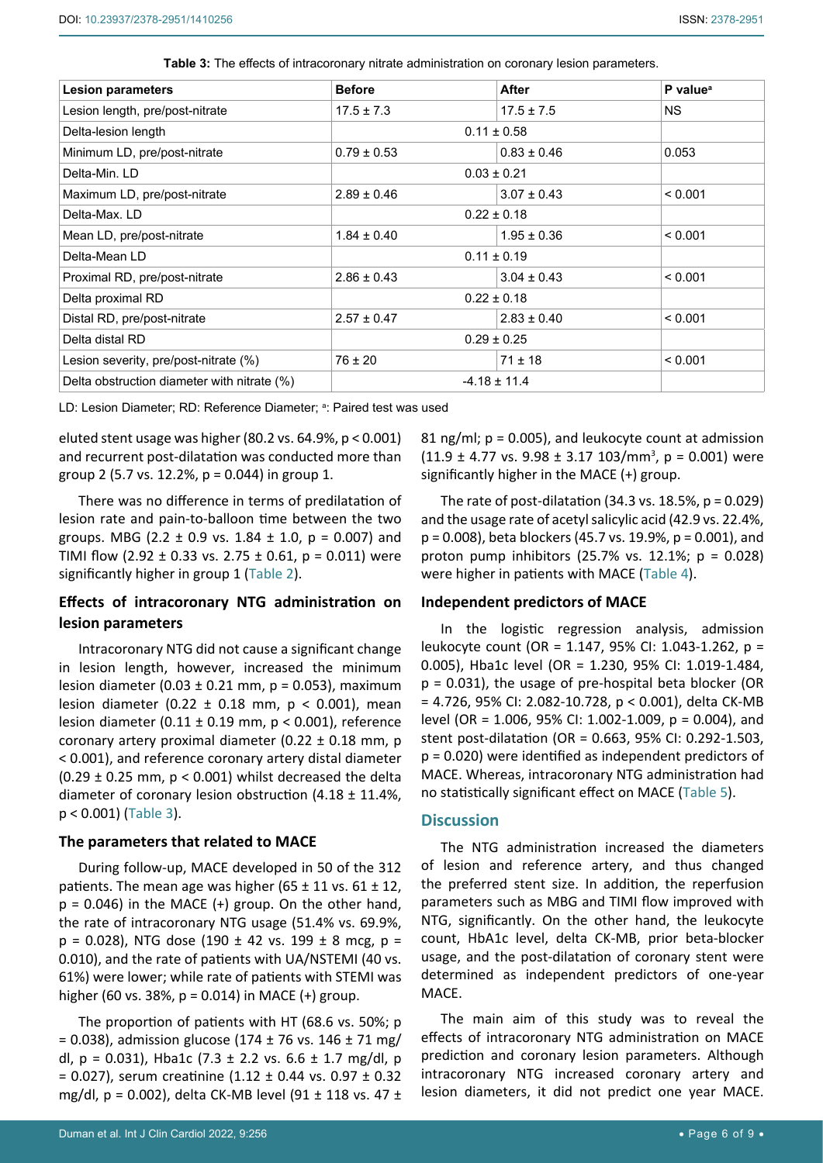| <b>Lesion parameters</b>                    | <b>Before</b>    | After           | P value <sup>a</sup> |
|---------------------------------------------|------------------|-----------------|----------------------|
| Lesion length, pre/post-nitrate             | $17.5 \pm 7.3$   | $17.5 \pm 7.5$  | <b>NS</b>            |
| Delta-lesion length                         | $0.11 \pm 0.58$  |                 |                      |
| Minimum LD, pre/post-nitrate                | $0.79 \pm 0.53$  | $0.83 \pm 0.46$ | 0.053                |
| Delta-Min, LD                               | $0.03 \pm 0.21$  |                 |                      |
| Maximum LD, pre/post-nitrate                | $2.89 \pm 0.46$  | $3.07 \pm 0.43$ | < 0.001              |
| Delta-Max, LD                               | $0.22 \pm 0.18$  |                 |                      |
| Mean LD, pre/post-nitrate                   | $1.84 \pm 0.40$  | $1.95 \pm 0.36$ | < 0.001              |
| Delta-Mean LD                               | $0.11 \pm 0.19$  |                 |                      |
| Proximal RD, pre/post-nitrate               | $2.86 \pm 0.43$  | $3.04 \pm 0.43$ | < 0.001              |
| Delta proximal RD                           | $0.22 \pm 0.18$  |                 |                      |
| Distal RD, pre/post-nitrate                 | $2.57 \pm 0.47$  | $2.83 \pm 0.40$ | < 0.001              |
| Delta distal RD                             | $0.29 \pm 0.25$  |                 |                      |
| Lesion severity, pre/post-nitrate (%)       | $76 \pm 20$      | $71 \pm 18$     | < 0.001              |
| Delta obstruction diameter with nitrate (%) | $-4.18 \pm 11.4$ |                 |                      |

<span id="page-5-0"></span>**Table 3:** The effects of intracoronary nitrate administration on coronary lesion parameters.

LD: Lesion Diameter; RD: Reference Diameter; ª: Paired test was used

eluted stent usage was higher (80.2 vs. 64.9%, p < 0.001) and recurrent post-dilatation was conducted more than group 2 (5.7 vs. 12.2%, p = 0.044) in group 1.

There was no difference in terms of predilatation of lesion rate and pain-to-balloon time between the two groups. MBG (2.2  $\pm$  0.9 vs. 1.84  $\pm$  1.0, p = 0.007) and TIMI flow (2.92  $\pm$  0.33 vs. 2.75  $\pm$  0.61, p = 0.011) were significantly higher in group 1 [\(Table 2\)](#page-4-0).

## **Effects of intracoronary NTG administration on lesion parameters**

Intracoronary NTG did not cause a significant change in lesion length, however, increased the minimum lesion diameter (0.03  $\pm$  0.21 mm, p = 0.053), maximum lesion diameter (0.22  $\pm$  0.18 mm, p < 0.001), mean lesion diameter (0.11  $\pm$  0.19 mm, p < 0.001), reference coronary artery proximal diameter (0.22 ± 0.18 mm, p < 0.001), and reference coronary artery distal diameter (0.29  $\pm$  0.25 mm, p < 0.001) whilst decreased the delta diameter of coronary lesion obstruction  $(4.18 \pm 11.4\%)$ p < 0.001) ([Table 3](#page-5-0)).

#### **The parameters that related to MACE**

During follow-up, MACE developed in 50 of the 312 patients. The mean age was higher (65  $\pm$  11 vs. 61  $\pm$  12,  $p = 0.046$ ) in the MACE (+) group. On the other hand, the rate of intracoronary NTG usage (51.4% vs. 69.9%,  $p = 0.028$ ), NTG dose (190 ± 42 vs. 199 ± 8 mcg,  $p =$ 0.010), and the rate of patients with UA/NSTEMI (40 vs. 61%) were lower; while rate of patients with STEMI was higher (60 vs. 38%,  $p = 0.014$ ) in MACE (+) group.

The proportion of patients with HT (68.6 vs. 50%; p  $= 0.038$ ), admission glucose (174 ± 76 vs. 146 ± 71 mg/ dl,  $p = 0.031$ ), Hba1c (7.3 ± 2.2 vs. 6.6 ± 1.7 mg/dl, p  $= 0.027$ ), serum creatinine (1.12  $\pm$  0.44 vs. 0.97  $\pm$  0.32 mg/dl, p = 0.002), delta CK-MB level (91 ± 118 vs. 47 ± 81 ng/ml;  $p = 0.005$ ), and leukocyte count at admission  $(11.9 \pm 4.77 \text{ vs. } 9.98 \pm 3.17 \text{ 103/mm}^3, p = 0.001)$  were significantly higher in the MACE (+) group.

The rate of post-dilatation  $(34.3 \text{ vs. } 18.5\% , p = 0.029)$ and the usage rate of acetyl salicylic acid (42.9 vs. 22.4%, p = 0.008), beta blockers (45.7 vs. 19.9%, p = 0.001), and proton pump inhibitors (25.7% vs. 12.1%; p = 0.028) were higher in patients with MACE ([Table 4](#page-6-0)).

#### **Independent predictors of MACE**

In the logistic regression analysis, admission leukocyte count (OR = 1.147, 95% CI: 1.043-1.262, p = 0.005), Hba1c level (OR = 1.230, 95% CI: 1.019-1.484, p = 0.031), the usage of pre-hospital beta blocker (OR = 4.726, 95% CI: 2.082-10.728, p < 0.001), delta CK-MB level (OR = 1.006, 95% CI: 1.002-1.009, p = 0.004), and stent post-dilatation (OR = 0.663, 95% CI: 0.292-1.503, p = 0.020) were identified as independent predictors of MACE. Whereas, intracoronary NTG administration had no statistically significant effect on MACE [\(Table 5\)](#page-6-1).

#### **Discussion**

The NTG administration increased the diameters of lesion and reference artery, and thus changed the preferred stent size. In addition, the reperfusion parameters such as MBG and TIMI flow improved with NTG, significantly. On the other hand, the leukocyte count, HbA1c level, delta CK-MB, prior beta-blocker usage, and the post-dilatation of coronary stent were determined as independent predictors of one-year MACE.

The main aim of this study was to reveal the effects of intracoronary NTG administration on MACE prediction and coronary lesion parameters. Although intracoronary NTG increased coronary artery and lesion diameters, it did not predict one year MACE.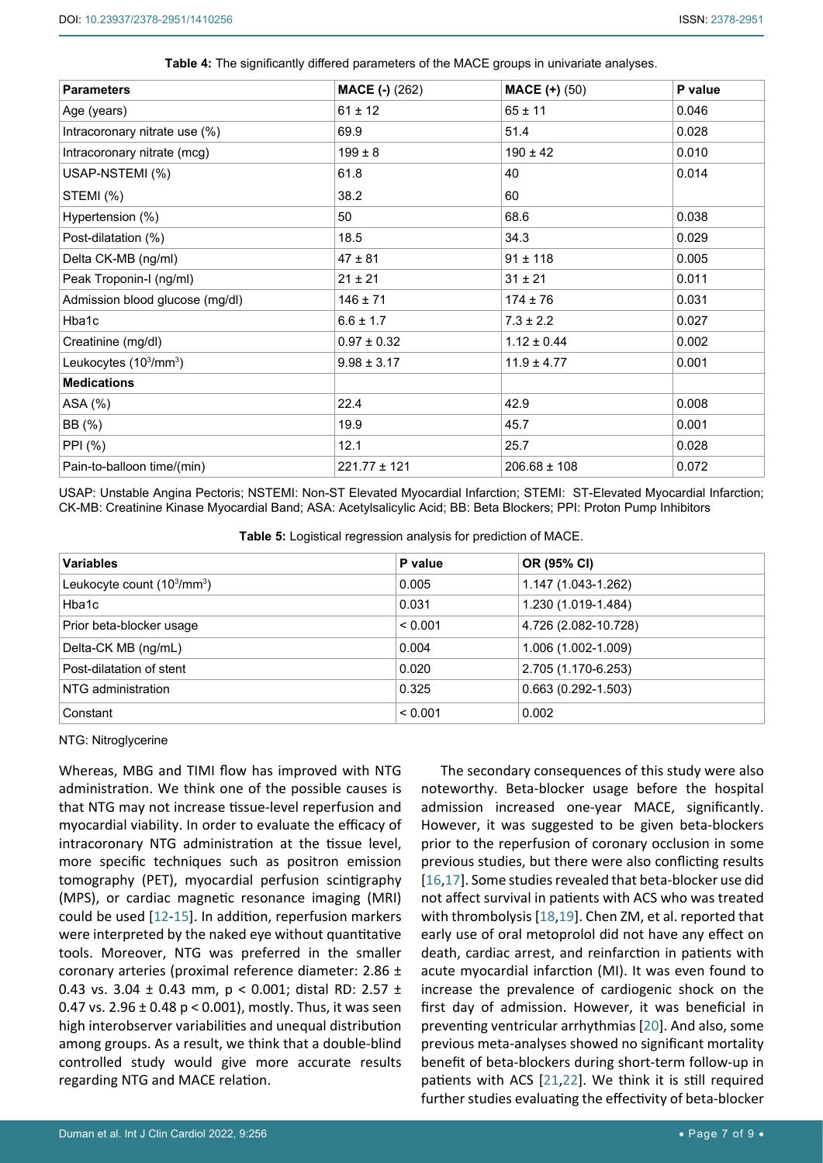| <b>Parameters</b>                              | <b>MACE (-) (262)</b> | <b>MACE <math>(+)</math></b> (50) | P value |
|------------------------------------------------|-----------------------|-----------------------------------|---------|
| Age (years)                                    | $61 \pm 12$           | $65 \pm 11$                       | 0.046   |
| Intracoronary nitrate use (%)                  | 69.9                  | 51.4                              | 0.028   |
| Intracoronary nitrate (mcg)                    | $199 \pm 8$           | $190 \pm 42$                      | 0.010   |
| USAP-NSTEMI (%)                                | 61.8                  | 40                                | 0.014   |
| STEMI (%)                                      | 38.2                  | 60                                |         |
| Hypertension (%)                               | 50                    | 68.6                              | 0.038   |
| Post-dilatation (%)                            | 18.5                  | 34.3                              | 0.029   |
| Delta CK-MB (ng/ml)                            | $47 \pm 81$           | $91 \pm 118$                      | 0.005   |
| Peak Troponin-I (ng/ml)                        | $21 \pm 21$           | $31 \pm 21$                       | 0.011   |
| Admission blood glucose (mg/dl)                | $146 \pm 71$          | $174 \pm 76$                      | 0.031   |
| Hba1c                                          | $6.6 \pm 1.7$         | $7.3 \pm 2.2$                     | 0.027   |
| Creatinine (mg/dl)                             | $0.97 \pm 0.32$       | $1.12 \pm 0.44$                   | 0.002   |
| Leukocytes (10 <sup>3</sup> /mm <sup>3</sup> ) | $9.98 \pm 3.17$       | $11.9 \pm 4.77$                   | 0.001   |
| <b>Medications</b>                             |                       |                                   |         |
| ASA (%)                                        | 22.4                  | 42.9                              | 0.008   |
| BB (%)                                         | 19.9                  | 45.7                              | 0.001   |
| PPI (%)                                        | 12.1                  | 25.7                              | 0.028   |
| Pain-to-balloon time/(min)                     | 221.77 ± 121          | $206.68 \pm 108$                  | 0.072   |

<span id="page-6-0"></span>

| Table 4: The significantly differed parameters of the MACE groups in univariate analyses. |  |  |  |
|-------------------------------------------------------------------------------------------|--|--|--|
|-------------------------------------------------------------------------------------------|--|--|--|

USAP: Unstable Angina Pectoris; NSTEMI: Non-ST Elevated Myocardial Infarction; STEMI: ST-Elevated Myocardial Infarction; CK-MB: Creatinine Kinase Myocardial Band; ASA: Acetylsalicylic Acid; BB: Beta Blockers; PPI: Proton Pump Inhibitors

<span id="page-6-1"></span>**Table 5:** Logistical regression analysis for prediction of MACE.

| <b>Variables</b>            | P value | OR (95% CI)            |
|-----------------------------|---------|------------------------|
| Leukocyte count $(103/mm3)$ | 0.005   | 1.147 (1.043-1.262)    |
| Hba1c                       | 0.031   | 1.230 (1.019-1.484)    |
| Prior beta-blocker usage    | < 0.001 | 4.726 (2.082-10.728)   |
| Delta-CK MB (ng/mL)         | 0.004   | 1.006 (1.002-1.009)    |
| Post-dilatation of stent    | 0.020   | 2.705 (1.170-6.253)    |
| NTG administration          | 0.325   | $0.663(0.292 - 1.503)$ |
| Constant                    | < 0.001 | 0.002                  |

NTG: Nitroglycerine

Whereas, MBG and TIMI flow has improved with NTG administration. We think one of the possible causes is that NTG may not increase tissue-level reperfusion and myocardial viability. In order to evaluate the efficacy of intracoronary NTG administration at the tissue level, more specific techniques such as positron emission tomography (PET), myocardial perfusion scintigraphy (MPS), or cardiac magnetic resonance imaging (MRI) could be used [\[12](#page-8-7)-[15\]](#page-8-8). In addition, reperfusion markers were interpreted by the naked eye without quantitative tools. Moreover, NTG was preferred in the smaller coronary arteries (proximal reference diameter: 2.86 ± 0.43 vs. 3.04 ± 0.43 mm, p < 0.001; distal RD: 2.57 ± 0.47 vs.  $2.96 \pm 0.48$  p < 0.001), mostly. Thus, it was seen high interobserver variabilities and unequal distribution among groups. As a result, we think that a double-blind controlled study would give more accurate results regarding NTG and MACE relation.

The secondary consequences of this study were also noteworthy. Beta-blocker usage before the hospital admission increased one-year MACE, significantly. However, it was suggested to be given beta-blockers prior to the reperfusion of coronary occlusion in some previous studies, but there were also conflicting results [\[16](#page-8-0),[17](#page-8-1)]. Some studies revealed that beta-blocker use did not affect survival in patients with ACS who was treated with thrombolysis [\[18](#page-8-2),[19](#page-8-3)]. Chen ZM, et al. reported that early use of oral metoprolol did not have any effect on death, cardiac arrest, and reinfarction in patients with acute myocardial infarction (MI). It was even found to increase the prevalence of cardiogenic shock on the first day of admission. However, it was beneficial in preventing ventricular arrhythmias [[20](#page-8-4)]. And also, some previous meta-analyses showed no significant mortality benefit of beta-blockers during short-term follow-up in patients with ACS [\[21](#page-8-5)[,22](#page-8-6)]. We think it is still required further studies evaluating the effectivity of beta-blocker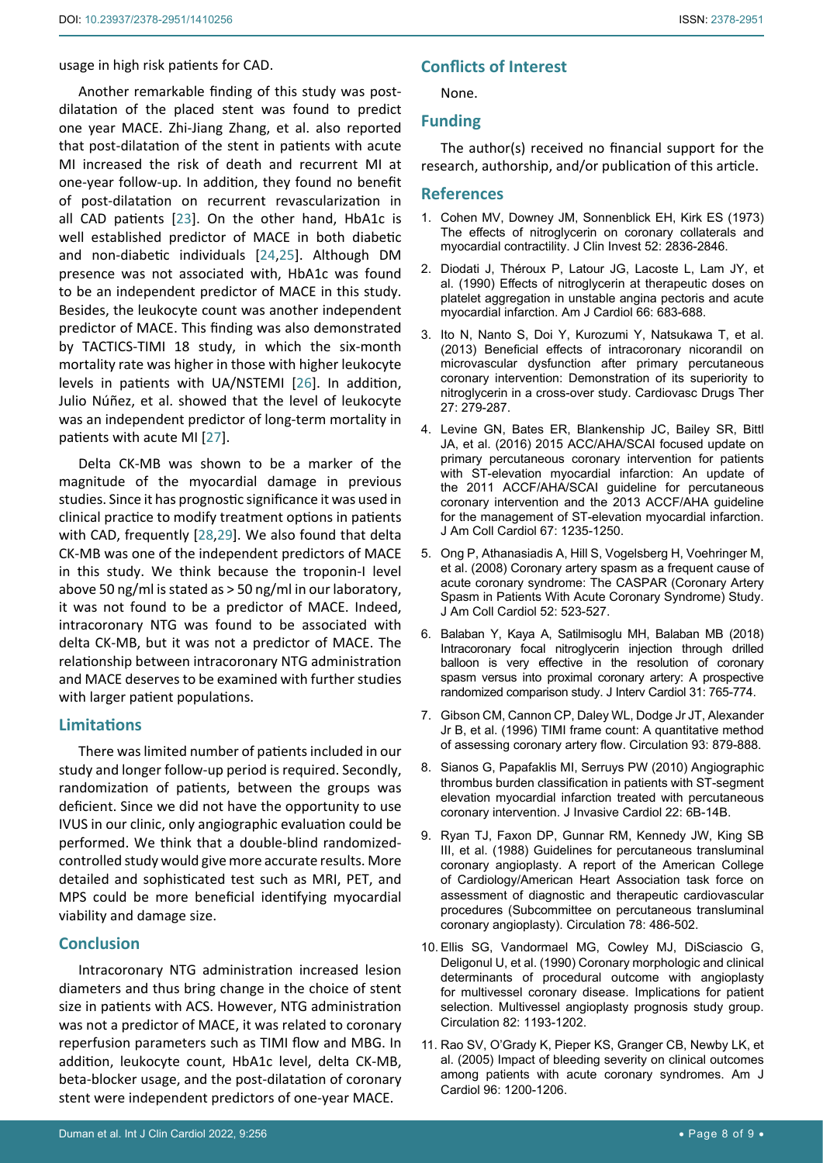## usage in high risk patients for CAD.

Another remarkable finding of this study was postdilatation of the placed stent was found to predict one year MACE. Zhi-Jiang Zhang, et al. also reported that post-dilatation of the stent in patients with acute MI increased the risk of death and recurrent MI at one-year follow-up. In addition, they found no benefit of post-dilatation on recurrent revascularization in all CAD patients [[23\]](#page-8-9). On the other hand, HbA1c is well established predictor of MACE in both diabetic and non-diabetic individuals [\[24](#page-8-10),[25](#page-8-11)]. Although DM presence was not associated with, HbA1c was found to be an independent predictor of MACE in this study. Besides, the leukocyte count was another independent predictor of MACE. This finding was also demonstrated by TACTICS-TIMI 18 study, in which the six-month mortality rate was higher in those with higher leukocyte levels in patients with UA/NSTEMI [\[26\]](#page-8-12). In addition, Julio Núñez, et al. showed that the level of leukocyte was an independent predictor of long-term mortality in patients with acute MI [\[27](#page-8-13)].

Delta CK-MB was shown to be a marker of the magnitude of the myocardial damage in previous studies. Since it has prognostic significance it was used in clinical practice to modify treatment options in patients with CAD, frequently [\[28](#page-8-14),[29](#page-8-15)]. We also found that delta CK-MB was one of the independent predictors of MACE in this study. We think because the troponin-I level above 50 ng/ml is stated as > 50 ng/ml in our laboratory, it was not found to be a predictor of MACE. Indeed, intracoronary NTG was found to be associated with delta CK-MB, but it was not a predictor of MACE. The relationship between intracoronary NTG administration and MACE deserves to be examined with further studies with larger patient populations.

## **Limitations**

There was limited number of patients included in our study and longer follow-up period is required. Secondly, randomization of patients, between the groups was deficient. Since we did not have the opportunity to use IVUS in our clinic, only angiographic evaluation could be performed. We think that a double-blind randomizedcontrolled study would give more accurate results. More detailed and sophisticated test such as MRI, PET, and MPS could be more beneficial identifying myocardial viability and damage size.

## **Conclusion**

Intracoronary NTG administration increased lesion diameters and thus bring change in the choice of stent size in patients with ACS. However, NTG administration was not a predictor of MACE, it was related to coronary reperfusion parameters such as TIMI flow and MBG. In addition, leukocyte count, HbA1c level, delta CK-MB, beta-blocker usage, and the post-dilatation of coronary stent were independent predictors of one-year MACE.

None.

## **Funding**

The author(s) received no financial support for the research, authorship, and/or publication of this article.

### **References**

- <span id="page-7-0"></span>1. [Cohen MV, Downey JM, Sonnenblick EH, Kirk ES \(1973\)](https://pubmed.ncbi.nlm.nih.gov/4201267/)  [The effects of nitroglycerin on coronary collaterals and](https://pubmed.ncbi.nlm.nih.gov/4201267/)  [myocardial contractility. J Clin Invest 52: 2836-2846.](https://pubmed.ncbi.nlm.nih.gov/4201267/)
- <span id="page-7-1"></span>2. [Diodati J, Théroux P, Latour JG, Lacoste L, Lam JY, et](https://pubmed.ncbi.nlm.nih.gov/2119139/)  [al. \(1990\) Effects of nitroglycerin at therapeutic doses on](https://pubmed.ncbi.nlm.nih.gov/2119139/)  [platelet aggregation in unstable angina pectoris and acute](https://pubmed.ncbi.nlm.nih.gov/2119139/)  [myocardial infarction. Am J Cardiol 66: 683-688.](https://pubmed.ncbi.nlm.nih.gov/2119139/)
- <span id="page-7-2"></span>3. [Ito N, Nanto S, Doi Y, Kurozumi Y, Natsukawa T, et al.](https://pubmed.ncbi.nlm.nih.gov/23722418/)  [\(2013\) Beneficial effects of intracoronary nicorandil on](https://pubmed.ncbi.nlm.nih.gov/23722418/)  [microvascular dysfunction after primary percutaneous](https://pubmed.ncbi.nlm.nih.gov/23722418/)  [coronary intervention: Demonstration of its superiority to](https://pubmed.ncbi.nlm.nih.gov/23722418/)  [nitroglycerin in a cross-over study. Cardiovasc Drugs Ther](https://pubmed.ncbi.nlm.nih.gov/23722418/)  [27: 279-287.](https://pubmed.ncbi.nlm.nih.gov/23722418/)
- <span id="page-7-3"></span>4. [Levine GN, Bates ER, Blankenship JC, Bailey SR, Bittl](https://pubmed.ncbi.nlm.nih.gov/26498666/)  [JA, et al. \(2016\) 2015 ACC/AHA/SCAI focused update on](https://pubmed.ncbi.nlm.nih.gov/26498666/)  [primary percutaneous coronary intervention for patients](https://pubmed.ncbi.nlm.nih.gov/26498666/)  [with ST-elevation myocardial infarction: An update of](https://pubmed.ncbi.nlm.nih.gov/26498666/)  [the 2011 ACCF/AHA/SCAI guideline for percutaneous](https://pubmed.ncbi.nlm.nih.gov/26498666/)  [coronary intervention and the 2013 ACCF/AHA guideline](https://pubmed.ncbi.nlm.nih.gov/26498666/)  [for the management of ST-elevation myocardial infarction.](https://pubmed.ncbi.nlm.nih.gov/26498666/)  [J Am Coll Cardiol 67: 1235-1250.](https://pubmed.ncbi.nlm.nih.gov/26498666/)
- <span id="page-7-4"></span>5. [Ong P, Athanasiadis A, Hill S, Vogelsberg H, Voehringer M,](https://pubmed.ncbi.nlm.nih.gov/18687244/)  [et al. \(2008\) Coronary artery spasm as a frequent cause of](https://pubmed.ncbi.nlm.nih.gov/18687244/)  [acute coronary syndrome: The CASPAR \(Coronary Artery](https://pubmed.ncbi.nlm.nih.gov/18687244/)  [Spasm in Patients With Acute Coronary Syndrome\) Study.](https://pubmed.ncbi.nlm.nih.gov/18687244/)  [J Am Coll Cardiol 52: 523-527.](https://pubmed.ncbi.nlm.nih.gov/18687244/)
- <span id="page-7-8"></span>6. [Balaban Y, Kaya A, Satilmisoglu MH, Balaban MB \(2018\)](https://pubmed.ncbi.nlm.nih.gov/30022529/)  [Intracoronary focal nitroglycerin injection through drilled](https://pubmed.ncbi.nlm.nih.gov/30022529/)  [balloon is very effective in the resolution of coronary](https://pubmed.ncbi.nlm.nih.gov/30022529/)  [spasm versus into proximal coronary artery: A prospective](https://pubmed.ncbi.nlm.nih.gov/30022529/)  [randomized comparison study. J Interv Cardiol 31: 765-774.](https://pubmed.ncbi.nlm.nih.gov/30022529/)
- <span id="page-7-9"></span>7. [Gibson CM, Cannon CP, Daley WL, Dodge Jr JT, Alexander](https://pubmed.ncbi.nlm.nih.gov/8598078/)  [Jr B, et al. \(1996\) TIMI frame count: A quantitative method](https://pubmed.ncbi.nlm.nih.gov/8598078/)  [of assessing coronary artery flow. Circulation 93: 879-888.](https://pubmed.ncbi.nlm.nih.gov/8598078/)
- <span id="page-7-5"></span>8. [Sianos G, Papafaklis MI, Serruys PW \(2010\) Angiographic](https://pubmed.ncbi.nlm.nih.gov/20947930/)  [thrombus burden classification in patients with ST-segment](https://pubmed.ncbi.nlm.nih.gov/20947930/)  [elevation myocardial infarction treated with percutaneous](https://pubmed.ncbi.nlm.nih.gov/20947930/)  [coronary intervention. J Invasive Cardiol 22: 6B-14B.](https://pubmed.ncbi.nlm.nih.gov/20947930/)
- <span id="page-7-6"></span>9. [Ryan TJ, Faxon DP, Gunnar RM, Kennedy JW, King SB](https://pubmed.ncbi.nlm.nih.gov/2969312/)  [III, et al. \(1988\) Guidelines for percutaneous transluminal](https://pubmed.ncbi.nlm.nih.gov/2969312/)  [coronary angioplasty. A report of the American College](https://pubmed.ncbi.nlm.nih.gov/2969312/)  [of Cardiology/American Heart Association task force on](https://pubmed.ncbi.nlm.nih.gov/2969312/)  [assessment of diagnostic and therapeutic cardiovascular](https://pubmed.ncbi.nlm.nih.gov/2969312/)  [procedures \(Subcommittee on percutaneous transluminal](https://pubmed.ncbi.nlm.nih.gov/2969312/)  [coronary angioplasty\). Circulation 78: 486-502.](https://pubmed.ncbi.nlm.nih.gov/2969312/)
- <span id="page-7-7"></span>10. [Ellis SG, Vandormael MG, Cowley MJ, DiSciascio G,](https://pubmed.ncbi.nlm.nih.gov/2401060/)  [Deligonul U, et al. \(1990\) Coronary morphologic and clinical](https://pubmed.ncbi.nlm.nih.gov/2401060/)  [determinants of procedural outcome with angioplasty](https://pubmed.ncbi.nlm.nih.gov/2401060/)  [for multivessel coronary disease. Implications for patient](https://pubmed.ncbi.nlm.nih.gov/2401060/)  [selection. Multivessel angioplasty prognosis study group.](https://pubmed.ncbi.nlm.nih.gov/2401060/)  [Circulation 82: 1193-1202.](https://pubmed.ncbi.nlm.nih.gov/2401060/)
- <span id="page-7-10"></span>11. Rao SV, O'Grady K, Pieper KS, Granger CB, Newby LK, et al. (2005) Impact of bleeding severity on clinical outcomes among patients with acute coronary syndromes. Am J Cardiol 96: 1200-1206.